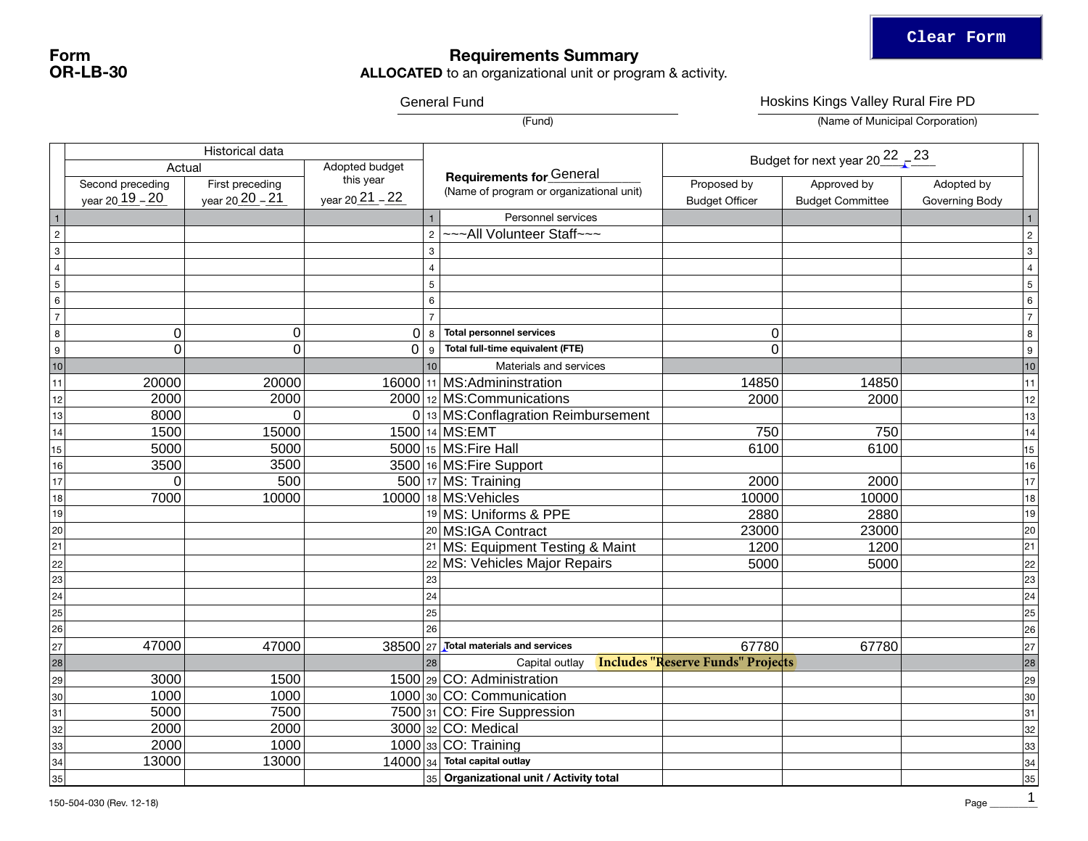## Requirements Summary

**ALLOCATED** to an organizational unit or program & activity.

|                  |                                               |                                    | Hoskins Kings Valley Rural Fire PD             |                 |                                                                             |                                      |                                        |                              |                    |
|------------------|-----------------------------------------------|------------------------------------|------------------------------------------------|-----------------|-----------------------------------------------------------------------------|--------------------------------------|----------------------------------------|------------------------------|--------------------|
|                  |                                               |                                    |                                                |                 | (Fund)                                                                      |                                      | (Name of Municipal Corporation)        |                              |                    |
|                  |                                               |                                    |                                                |                 | Budget for next year $20\frac{22}{10} - \frac{23}{10}$                      |                                      |                                        |                              |                    |
|                  | Actual<br>Second preceding<br>year 20_19 - 20 | First preceding<br>year 20 20 - 21 | Adopted budget<br>this year<br>year 20 21 - 22 |                 | <b>Requirements for General</b><br>(Name of program or organizational unit) | Proposed by<br><b>Budget Officer</b> | Approved by<br><b>Budget Committee</b> | Adopted by<br>Governing Body |                    |
| $\overline{1}$   |                                               |                                    |                                                |                 | Personnel services                                                          |                                      |                                        |                              | $\mathbf{1}$       |
| $\overline{2}$   |                                               |                                    |                                                | $\overline{2}$  | ~~~All Volunteer Staff~~~                                                   |                                      |                                        |                              | $\overline{2}$     |
| $\mathbf{3}$     |                                               |                                    |                                                | $\mathbf{3}$    |                                                                             |                                      |                                        |                              | $\overline{3}$     |
| $\overline{4}$   |                                               |                                    |                                                | $\overline{4}$  |                                                                             |                                      |                                        |                              | $\overline{4}$     |
| $\overline{5}$   |                                               |                                    |                                                | $5\phantom{.0}$ |                                                                             |                                      |                                        |                              | $\overline{5}$     |
| $\,6\,$          |                                               |                                    |                                                | $6\phantom{1}$  |                                                                             |                                      |                                        |                              | $\,6$              |
| $\overline{7}$   |                                               |                                    |                                                |                 |                                                                             |                                      |                                        |                              | $\overline{7}$     |
| $\,8\,$          | $\pmb{0}$                                     | $\boldsymbol{0}$                   |                                                |                 | $0 8 $ Total personnel services                                             | 0                                    |                                        |                              | 8                  |
| $\boldsymbol{9}$ | $\mathbf 0$                                   | $\mathbf 0$                        | $\Omega$                                       | 9               | Total full-time equivalent (FTE)                                            | $\Omega$                             |                                        |                              | 9                  |
| $10$             |                                               |                                    |                                                | 10              | Materials and services                                                      |                                      |                                        |                              | 10                 |
| 11               | 20000                                         | 20000                              |                                                |                 | 16000 11 MS: Admininstration                                                | 14850                                | 14850                                  |                              | $\vert$ 11 $\vert$ |
| 12               | 2000                                          | 2000                               |                                                |                 | 2000 12 MS: Communications                                                  | 2000                                 | 2000                                   |                              | 12                 |
| 13               | 8000                                          | 0                                  |                                                |                 | 0 13 MS: Conflagration Reimbursement                                        |                                      |                                        |                              | 13                 |
| 14               | 1500                                          | 15000                              |                                                |                 | 1500 14 MS: EMT                                                             | 750                                  | 750                                    |                              | 14                 |
| 15               | 5000                                          | 5000                               |                                                |                 | $5000 _{15}$ MS: Fire Hall                                                  | 6100                                 | 6100                                   |                              | 15                 |
| 16               | 3500                                          | 3500                               |                                                |                 | 3500 16 MS: Fire Support                                                    |                                      |                                        |                              | 16                 |
| 17               | $\Omega$                                      | 500                                |                                                |                 | $500$ 17 MS: Training                                                       | 2000                                 | 2000                                   |                              | 17                 |
| $18$             | 7000                                          | 10000                              |                                                |                 | $10000$ 18 MS: Vehicles                                                     | 10000                                | 10000                                  |                              | 18                 |
| 19               |                                               |                                    |                                                |                 | 19 MS: Uniforms & PPE                                                       | 2880                                 | 2880                                   |                              | 19                 |
| $\overline{20}$  |                                               |                                    |                                                |                 | 20 MS:IGA Contract                                                          | 23000                                | 23000                                  |                              | 20                 |
| 21               |                                               |                                    |                                                |                 | 21 MS: Equipment Testing & Maint                                            | 1200                                 | 1200                                   |                              | $\overline{21}$    |
| 22               |                                               |                                    |                                                |                 | 22 MS: Vehicles Major Repairs                                               | 5000                                 | 5000                                   |                              | 22                 |
| 23               |                                               |                                    |                                                | 23              |                                                                             |                                      |                                        |                              | $\overline{23}$    |
| 24               |                                               |                                    |                                                | 24              |                                                                             |                                      |                                        |                              | 24                 |
| $\overline{25}$  |                                               |                                    |                                                | 25              |                                                                             |                                      |                                        |                              | $\overline{25}$    |
| 26               |                                               |                                    |                                                | 26              |                                                                             |                                      |                                        |                              | 26                 |
| 27               | 47000                                         | 47000                              | 38500 27                                       |                 | Total materials and services                                                | 67780                                | 67780                                  |                              | $\overline{27}$    |
| $\overline{28}$  |                                               |                                    |                                                | 28              | <b>Includes "Reserve Funds" Projects</b><br>Capital outlay                  |                                      |                                        |                              | 28                 |
| 29               | 3000                                          | 1500                               |                                                |                 | $1500$ <sub>29</sub> CO: Administration                                     |                                      |                                        |                              | 29                 |
| 30               | 1000                                          | 1000                               |                                                |                 | $1000 _{30} CO: Communication$                                              |                                      |                                        |                              | 30                 |
| 31               | 5000                                          | 7500                               |                                                |                 | 7500 $ 31 CO$ : Fire Suppression                                            |                                      |                                        |                              | 31                 |
| 32               | 2000                                          | 2000                               |                                                |                 | $3000 32 CO$ : Medical                                                      |                                      |                                        |                              | 32                 |
| 33               | 2000                                          | 1000                               |                                                |                 | $1000$ <sub>33</sub> CO: Training                                           |                                      |                                        |                              | 33                 |
| 34               | 13000                                         | 13000                              |                                                |                 | $14000 _{34} $ Total capital outlay                                         |                                      |                                        |                              | 34                 |
| 35               |                                               |                                    |                                                |                 | $_{\mid 35}\vert$ Organizational unit / Activity total                      |                                      |                                        |                              | 35                 |

Form OR-LB-30